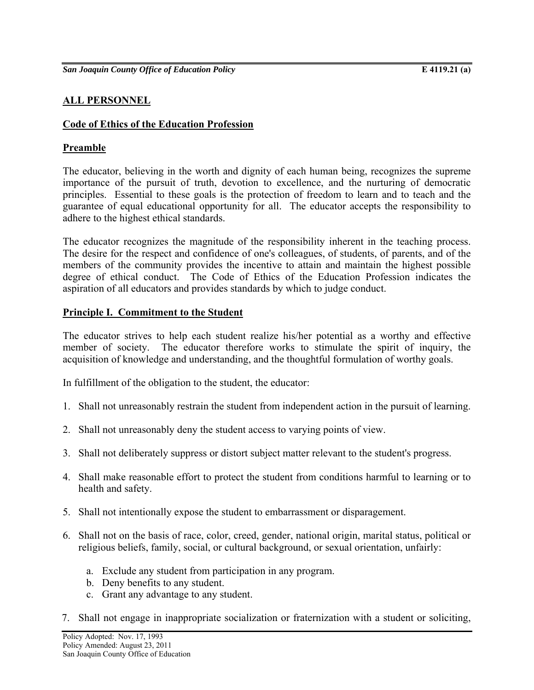# **ALL PERSONNEL**

## **Code of Ethics of the Education Profession**

## **Preamble**

The educator, believing in the worth and dignity of each human being, recognizes the supreme importance of the pursuit of truth, devotion to excellence, and the nurturing of democratic principles. Essential to these goals is the protection of freedom to learn and to teach and the guarantee of equal educational opportunity for all. The educator accepts the responsibility to adhere to the highest ethical standards.

The educator recognizes the magnitude of the responsibility inherent in the teaching process. The desire for the respect and confidence of one's colleagues, of students, of parents, and of the members of the community provides the incentive to attain and maintain the highest possible degree of ethical conduct. The Code of Ethics of the Education Profession indicates the aspiration of all educators and provides standards by which to judge conduct.

## **Principle I. Commitment to the Student**

The educator strives to help each student realize his/her potential as a worthy and effective member of society. The educator therefore works to stimulate the spirit of inquiry, the acquisition of knowledge and understanding, and the thoughtful formulation of worthy goals.

In fulfillment of the obligation to the student, the educator:

- 1. Shall not unreasonably restrain the student from independent action in the pursuit of learning.
- 2. Shall not unreasonably deny the student access to varying points of view.
- 3. Shall not deliberately suppress or distort subject matter relevant to the student's progress.
- 4. Shall make reasonable effort to protect the student from conditions harmful to learning or to health and safety.
- 5. Shall not intentionally expose the student to embarrassment or disparagement.
- 6. Shall not on the basis of race, color, creed, gender, national origin, marital status, political or religious beliefs, family, social, or cultural background, or sexual orientation, unfairly:
	- a. Exclude any student from participation in any program.
	- b. Deny benefits to any student.
	- c. Grant any advantage to any student.
- 7. Shall not engage in inappropriate socialization or fraternization with a student or soliciting,